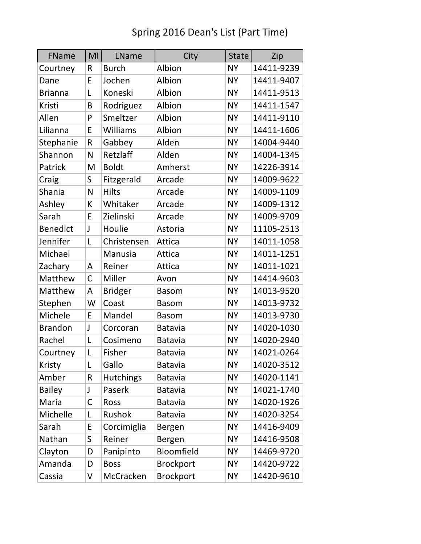| <b>FName</b>    | MI           | LName            | City             | <b>State</b> | Zip        |
|-----------------|--------------|------------------|------------------|--------------|------------|
| Courtney        | R            | <b>Burch</b>     | Albion           | <b>NY</b>    | 14411-9239 |
| Dane            | E            | Jochen           | Albion           | <b>NY</b>    | 14411-9407 |
| <b>Brianna</b>  | L            | Koneski          | Albion           | <b>NY</b>    | 14411-9513 |
| Kristi          | B            | Rodriguez        | Albion           | <b>NY</b>    | 14411-1547 |
| Allen           | P            | Smeltzer         | Albion           | <b>NY</b>    | 14411-9110 |
| Lilianna        | E            | Williams         | Albion           | <b>NY</b>    | 14411-1606 |
| Stephanie       | R            | Gabbey           | Alden            | <b>NY</b>    | 14004-9440 |
| Shannon         | N            | Retzlaff         | Alden            | <b>NY</b>    | 14004-1345 |
| Patrick         | M            | <b>Boldt</b>     | Amherst          | <b>NY</b>    | 14226-3914 |
| Craig           | S            | Fitzgerald       | Arcade           | <b>NY</b>    | 14009-9622 |
| Shania          | N            | <b>Hilts</b>     | Arcade           | <b>NY</b>    | 14009-1109 |
| Ashley          | К            | Whitaker         | Arcade           | <b>NY</b>    | 14009-1312 |
| Sarah           | E            | Zielinski        | Arcade           | <b>NY</b>    | 14009-9709 |
| <b>Benedict</b> | J            | Houlie           | Astoria          | <b>NY</b>    | 11105-2513 |
| Jennifer        | L            | Christensen      | <b>Attica</b>    | <b>NY</b>    | 14011-1058 |
| Michael         |              | Manusia          | Attica           | <b>NY</b>    | 14011-1251 |
| Zachary         | A            | Reiner           | Attica           | <b>NY</b>    | 14011-1021 |
| Matthew         | $\mathsf{C}$ | Miller           | Avon             | <b>NY</b>    | 14414-9603 |
| Matthew         | A            | <b>Bridger</b>   | <b>Basom</b>     | <b>NY</b>    | 14013-9520 |
| Stephen         | W            | Coast            | <b>Basom</b>     | <b>NY</b>    | 14013-9732 |
| Michele         | E            | Mandel           | <b>Basom</b>     | <b>NY</b>    | 14013-9730 |
| <b>Brandon</b>  | J            | Corcoran         | <b>Batavia</b>   | <b>NY</b>    | 14020-1030 |
| Rachel          | L            | Cosimeno         | Batavia          | <b>NY</b>    | 14020-2940 |
| Courtney        |              | Fisher           | Batavia          | <b>NY</b>    | 14021-0264 |
| Kristy          | L            | Gallo            | Batavia          | <b>NY</b>    | 14020-3512 |
| Amber           | R            | <b>Hutchings</b> | Batavia          | <b>NY</b>    | 14020-1141 |
| <b>Bailey</b>   | J            | Paserk           | Batavia          | <b>NY</b>    | 14021-1740 |
| Maria           | $\mathsf{C}$ | Ross             | Batavia          | <b>NY</b>    | 14020-1926 |
| Michelle        | L            | <b>Rushok</b>    | Batavia          | <b>NY</b>    | 14020-3254 |
| Sarah           | E            | Corcimiglia      | Bergen           | <b>NY</b>    | 14416-9409 |
| Nathan          | S            | Reiner           | Bergen           | <b>NY</b>    | 14416-9508 |
| Clayton         | D            | Panipinto        | Bloomfield       | <b>NY</b>    | 14469-9720 |
| Amanda          | D            | <b>Boss</b>      | <b>Brockport</b> | <b>NY</b>    | 14420-9722 |
| Cassia          | V            | McCracken        | <b>Brockport</b> | <b>NY</b>    | 14420-9610 |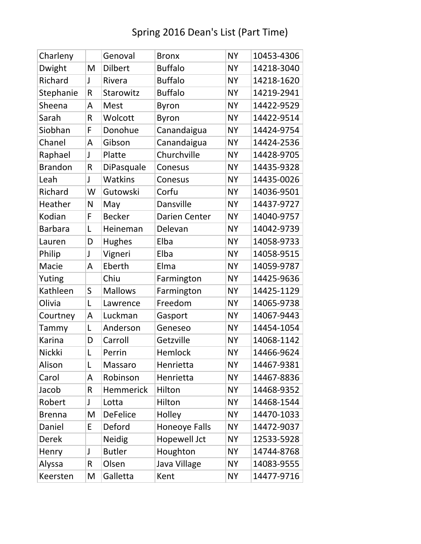| Charleny       |              | Genoval          | <b>Bronx</b>         | <b>NY</b> | 10453-4306 |
|----------------|--------------|------------------|----------------------|-----------|------------|
| Dwight         | M            | <b>Dilbert</b>   | <b>Buffalo</b>       | <b>NY</b> | 14218-3040 |
| Richard        | J            | Rivera           | <b>Buffalo</b>       | <b>NY</b> | 14218-1620 |
| Stephanie      | R            | Starowitz        | <b>Buffalo</b>       | <b>NY</b> | 14219-2941 |
| Sheena         | A            | Mest             | <b>Byron</b>         | <b>NY</b> | 14422-9529 |
| Sarah          | R            | Wolcott          | <b>Byron</b>         | <b>NY</b> | 14422-9514 |
| Siobhan        | F            | Donohue          | Canandaigua          | <b>NY</b> | 14424-9754 |
| Chanel         | A            | Gibson           | Canandaigua          | <b>NY</b> | 14424-2536 |
| Raphael        | J            | Platte           | Churchville          | <b>NY</b> | 14428-9705 |
| <b>Brandon</b> | R            | DiPasquale       | Conesus              | <b>NY</b> | 14435-9328 |
| Leah           | $\mathsf{l}$ | <b>Watkins</b>   | Conesus              | <b>NY</b> | 14435-0026 |
| Richard        | W            | Gutowski         | Corfu                | <b>NY</b> | 14036-9501 |
| Heather        | N            | May              | Dansville            | <b>NY</b> | 14437-9727 |
| Kodian         | F            | <b>Becker</b>    | <b>Darien Center</b> | <b>NY</b> | 14040-9757 |
| <b>Barbara</b> | L            | Heineman         | Delevan              | <b>NY</b> | 14042-9739 |
| Lauren         | D            | <b>Hughes</b>    | Elba                 | <b>NY</b> | 14058-9733 |
| Philip         | J            | Vigneri          | Elba                 | <b>NY</b> | 14058-9515 |
| Macie          | A            | Eberth           | Elma                 | <b>NY</b> | 14059-9787 |
| Yuting         |              | Chiu             | Farmington           | <b>NY</b> | 14425-9636 |
| Kathleen       | S            | <b>Mallows</b>   | Farmington           | <b>NY</b> | 14425-1129 |
| Olivia         | L            | Lawrence         | Freedom              | <b>NY</b> | 14065-9738 |
| Courtney       | A            | Luckman          | Gasport              | <b>NY</b> | 14067-9443 |
| Tammy          | L            | Anderson         | Geneseo              | <b>NY</b> | 14454-1054 |
| <b>Karina</b>  | D            | Carroll          | Getzville            | <b>NY</b> | 14068-1142 |
| Nickki         | L            | Perrin           | Hemlock              | <b>NY</b> | 14466-9624 |
| Alison         | L            | Massaro          | Henrietta            | <b>NY</b> | 14467-9381 |
| Carol          | A            | Robinson         | Henrietta            | <b>NY</b> | 14467-8836 |
| Jacob          | R            | <b>Hemmerick</b> | Hilton               | <b>NY</b> | 14468-9352 |
| Robert         | J            | Lotta            | Hilton               | <b>NY</b> | 14468-1544 |
| <b>Brenna</b>  | M            | <b>DeFelice</b>  | Holley               | <b>NY</b> | 14470-1033 |
| Daniel         | E            | Deford           | <b>Honeoye Falls</b> | <b>NY</b> | 14472-9037 |
| <b>Derek</b>   |              | <b>Neidig</b>    | Hopewell Jct         | <b>NY</b> | 12533-5928 |
| Henry          | J            | <b>Butler</b>    | Houghton             | <b>NY</b> | 14744-8768 |
| Alyssa         | R            | Olsen            | Java Village         | <b>NY</b> | 14083-9555 |
| Keersten       | M            | Galletta         | Kent                 | <b>NY</b> | 14477-9716 |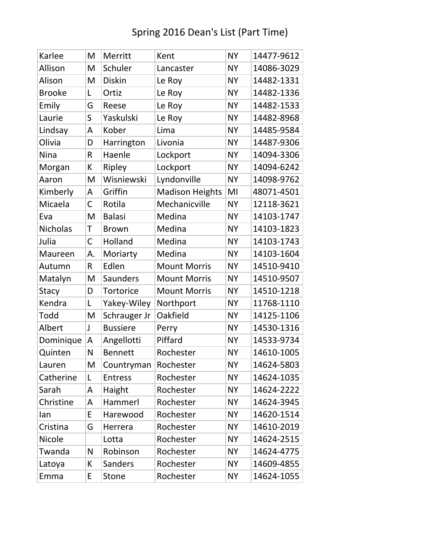| Karlee          | M            | Merritt         | Kent                   | <b>NY</b> | 14477-9612 |
|-----------------|--------------|-----------------|------------------------|-----------|------------|
| Allison         | M            | Schuler         | Lancaster              | <b>NY</b> | 14086-3029 |
| Alison          | M            | <b>Diskin</b>   | Le Roy                 | <b>NY</b> | 14482-1331 |
| <b>Brooke</b>   | L            | Ortiz           | Le Roy                 | <b>NY</b> | 14482-1336 |
| Emily           | G            | Reese           | Le Roy                 | <b>NY</b> | 14482-1533 |
| Laurie          | S            | Yaskulski       | Le Roy                 | <b>NY</b> | 14482-8968 |
| Lindsay         | A            | Kober           | Lima                   | <b>NY</b> | 14485-9584 |
| Olivia          | D            | Harrington      | Livonia                | <b>NY</b> | 14487-9306 |
| <b>Nina</b>     | R            | Haenle          | Lockport               | <b>NY</b> | 14094-3306 |
| Morgan          | К            | Ripley          | Lockport               | <b>NY</b> | 14094-6242 |
| Aaron           | M            | Wisniewski      | Lyndonville            | <b>NY</b> | 14098-9762 |
| Kimberly        | A            | Griffin         | <b>Madison Heights</b> | MI        | 48071-4501 |
| Micaela         | $\mathsf{C}$ | Rotila          | Mechanicville          | <b>NY</b> | 12118-3621 |
| Eva             | M            | <b>Balasi</b>   | Medina                 | <b>NY</b> | 14103-1747 |
| <b>Nicholas</b> | T            | <b>Brown</b>    | Medina                 | <b>NY</b> | 14103-1823 |
| Julia           | $\mathsf C$  | Holland         | Medina                 | <b>NY</b> | 14103-1743 |
| Maureen         | А.           | Moriarty        | Medina                 | <b>NY</b> | 14103-1604 |
| Autumn          | R            | Edlen           | <b>Mount Morris</b>    | <b>NY</b> | 14510-9410 |
| Matalyn         | M            | <b>Saunders</b> | <b>Mount Morris</b>    | <b>NY</b> | 14510-9507 |
| <b>Stacy</b>    | D            | Tortorice       | <b>Mount Morris</b>    | <b>NY</b> | 14510-1218 |
| Kendra          | L            | Yakey-Wiley     | Northport              | <b>NY</b> | 11768-1110 |
| Todd            | M            | Schrauger Jr    | Oakfield               | <b>NY</b> | 14125-1106 |
| Albert          | J            | <b>Bussiere</b> | Perry                  | <b>NY</b> | 14530-1316 |
| Dominique       | A            | Angellotti      | Piffard                | <b>NY</b> | 14533-9734 |
| Quinten         | N            | <b>Bennett</b>  | Rochester              | <b>NY</b> | 14610-1005 |
| Lauren          | M            | Countryman      | Rochester              | <b>NY</b> | 14624-5803 |
| Catherine       | L            | <b>Entress</b>  | Rochester              | <b>NY</b> | 14624-1035 |
| Sarah           | A            | Haight          | Rochester              | <b>NY</b> | 14624-2222 |
| Christine       | A            | Hammerl         | Rochester              | <b>NY</b> | 14624-3945 |
| lan             | E            | Harewood        | Rochester              | <b>NY</b> | 14620-1514 |
| Cristina        | G            | Herrera         | Rochester              | <b>NY</b> | 14610-2019 |
| <b>Nicole</b>   |              | Lotta           | Rochester              | <b>NY</b> | 14624-2515 |
| Twanda          | N            | Robinson        | Rochester              | <b>NY</b> | 14624-4775 |
| Latoya          | К            | Sanders         | Rochester              | <b>NY</b> | 14609-4855 |
| Emma            | E            | <b>Stone</b>    | Rochester              | <b>NY</b> | 14624-1055 |